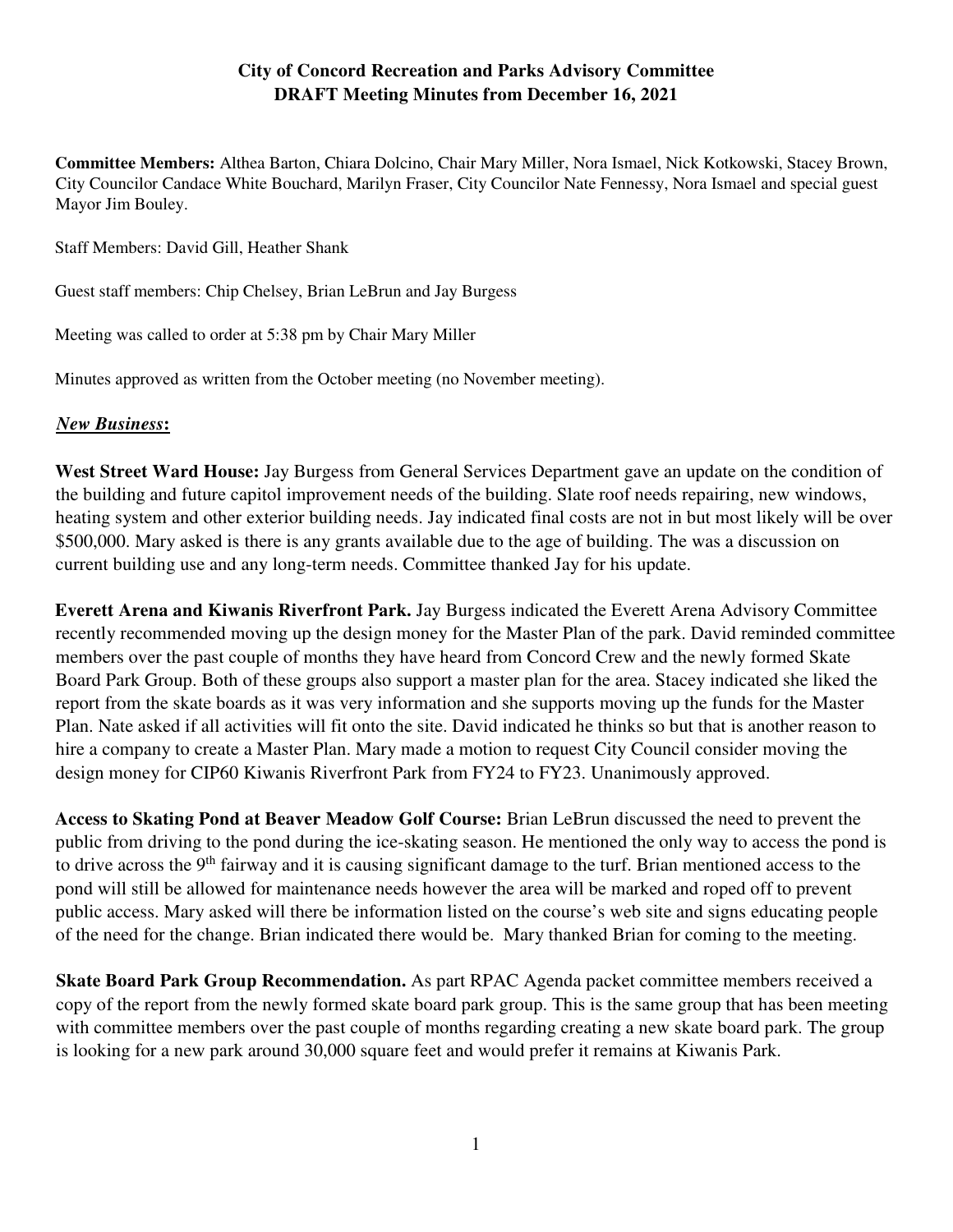## **City of Concord Recreation and Parks Advisory Committee DRAFT Meeting Minutes from December 16, 2021**

**Committee Members:** Althea Barton, Chiara Dolcino, Chair Mary Miller, Nora Ismael, Nick Kotkowski, Stacey Brown, City Councilor Candace White Bouchard, Marilyn Fraser, City Councilor Nate Fennessy, Nora Ismael and special guest Mayor Jim Bouley.

Staff Members: David Gill, Heather Shank

Guest staff members: Chip Chelsey, Brian LeBrun and Jay Burgess

Meeting was called to order at 5:38 pm by Chair Mary Miller

Minutes approved as written from the October meeting (no November meeting).

## *New Business***:**

**West Street Ward House:** Jay Burgess from General Services Department gave an update on the condition of the building and future capitol improvement needs of the building. Slate roof needs repairing, new windows, heating system and other exterior building needs. Jay indicated final costs are not in but most likely will be over \$500,000. Mary asked is there is any grants available due to the age of building. The was a discussion on current building use and any long-term needs. Committee thanked Jay for his update.

**Everett Arena and Kiwanis Riverfront Park.** Jay Burgess indicated the Everett Arena Advisory Committee recently recommended moving up the design money for the Master Plan of the park. David reminded committee members over the past couple of months they have heard from Concord Crew and the newly formed Skate Board Park Group. Both of these groups also support a master plan for the area. Stacey indicated she liked the report from the skate boards as it was very information and she supports moving up the funds for the Master Plan. Nate asked if all activities will fit onto the site. David indicated he thinks so but that is another reason to hire a company to create a Master Plan. Mary made a motion to request City Council consider moving the design money for CIP60 Kiwanis Riverfront Park from FY24 to FY23. Unanimously approved.

**Access to Skating Pond at Beaver Meadow Golf Course:** Brian LeBrun discussed the need to prevent the public from driving to the pond during the ice-skating season. He mentioned the only way to access the pond is to drive across the 9<sup>th</sup> fairway and it is causing significant damage to the turf. Brian mentioned access to the pond will still be allowed for maintenance needs however the area will be marked and roped off to prevent public access. Mary asked will there be information listed on the course's web site and signs educating people of the need for the change. Brian indicated there would be. Mary thanked Brian for coming to the meeting.

**Skate Board Park Group Recommendation.** As part RPAC Agenda packet committee members received a copy of the report from the newly formed skate board park group. This is the same group that has been meeting with committee members over the past couple of months regarding creating a new skate board park. The group is looking for a new park around 30,000 square feet and would prefer it remains at Kiwanis Park.